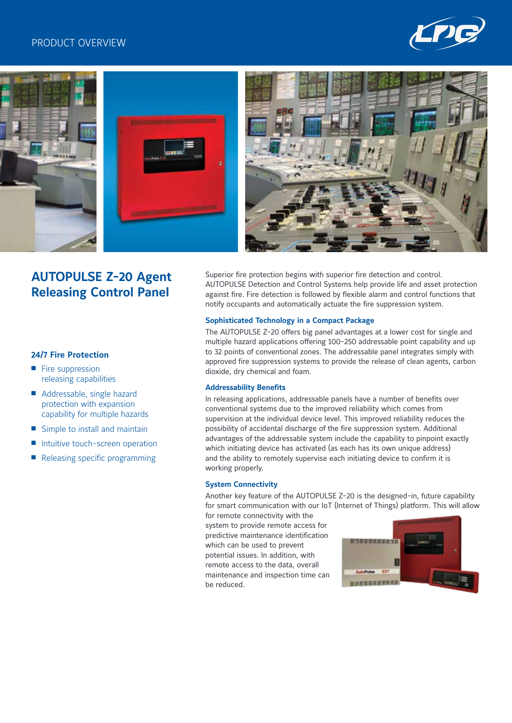## PRODUCT OVERVIEW









# **AUTOPULSE Z-20 Agent Releasing Control Panel**

Superior fire protection begins with superior fire detection and control. AUTOPULSE Detection and Control Systems help provide life and asset protection against fire. Fire detection is followed by flexible alarm and control functions that notify occupants and automatically actuate the fire suppression system.

#### **Sophisticated Technology in a Compact Package**

The AUTOPULSE Z-20 offers big panel advantages at a lower cost for single and multiple hazard applications offering 100-250 addressable point capability and up to 32 points of conventional zones. The addressable panel integrates simply with approved fire suppression systems to provide the release of clean agents, carbon dioxide, dry chemical and foam.

#### **Addressability Benefits**

In releasing applications, addressable panels have a number of benefits over conventional systems due to the improved reliability which comes from supervision at the individual device level. This improved reliability reduces the possibility of accidental discharge of the fire suppression system. Additional advantages of the addressable system include the capability to pinpoint exactly which initiating device has activated (as each has its own unique address) and the ability to remotely supervise each initiating device to confirm it is working properly.

#### **System Connectivity**

Another key feature of the AUTOPULSE Z-20 is the designed-in, future capability for smart communication with our IoT (Internet of Things) platform. This will allow

for remote connectivity with the system to provide remote access for predictive maintenance identification which can be used to prevent potential issues. In addition, with remote access to the data, overall maintenance and inspection time can be reduced.



## **24/7 Fire Protection**

- $\blacksquare$  Fire suppression releasing capabilities
- Addressable, single hazard protection with expansion capability for multiple hazards
- $\blacksquare$  Simple to install and maintain
- Intuitive touch-screen operation
- Releasing specific programming